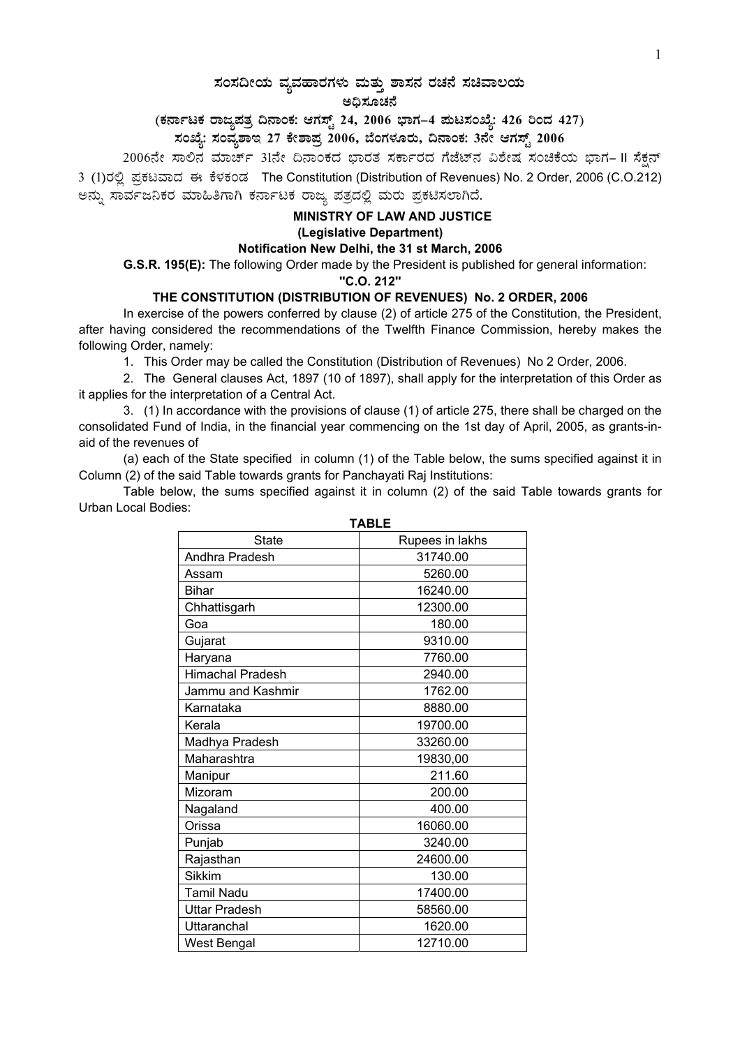# $\,$ ಸಂಸದೀಯ ವ್ಯವಹಾರಗಳು ಮತ್ತು ಶಾಸನ ರಚನೆ ಸಚಿವಾಲಯ

#### ಅಧಿಸೂಚನೆ

### (ಕರ್ನಾಟಕ ರಾಜ್ಯಪತ್ರ ದಿನಾಂಕ: ಆಗಸ್ಟ್ 24, 2006 ಭಾಗ–4 **ಮಟಸಂಖ್ಯೆ: 426 ರಿಂದ 427)**

# ಸಂಖ್ಯೆ: ಸಂವ್ಯಶಾಇ 27 ಕೇಶಾಪ್ರ 2006, ಬೆಂಗಳೂರು, ದಿನಾಂಕ: 3ನೇ ಆಗಸ್ಟ್ 2006 <sub>-</sub>

2006ನೇ ಸಾಲಿನ ಮಾರ್ಚ್ 31ನೇ ದಿನಾಂಕದ ಭಾರತ ಸರ್ಕಾರದ ಗೆಜೆಟ್ನ ವಿಶೇಷ ಸಂಚಿಕೆಯ ಭಾಗ– II ಸೆಕ್ಷನ್ 3 (1)ರಲ್ಲಿ ಪ್ರಕಟವಾದ ಈ ಕೆಳಕಂಡ The Constitution (Distribution of Revenues) No. 2 Order, 2006 (C.O.212) ಅನ್ನು ಸಾರ್ವಜನಿಕರ ಮಾಹಿತಿಗಾಗಿ ಕರ್ನಾಟಕ ರಾಜ್ಯ ಪತ್ರದಲ್ಲಿ ಮರು ಪ್ರಕಟಿಸಲಾಗಿದೆ.

## **MINISTRY OF LAW AND JUSTICE (Legislative Department)**

#### **Notification New Delhi, the 31 st March, 2006**

 **G.S.R. 195(E):** The following Order made by the President is published for general information:

**''C.O. 212''**

### **THE CONSTITUTION (DISTRIBUTION OF REVENUES) No. 2 ORDER, 2006**

In exercise of the powers conferred by clause (2) of article 275 of the Constitution, the President, after having considered the recommendations of the Twelfth Finance Commission, hereby makes the following Order, namely:

1. This Order may be called the Constitution (Distribution of Revenues) No 2 Order, 2006.

2. The General clauses Act, 1897 (10 of 1897), shall apply for the interpretation of this Order as it applies for the interpretation of a Central Act.

3. (1) In accordance with the provisions of clause (1) of article 275, there shall be charged on the consolidated Fund of India, in the financial year commencing on the 1st day of April, 2005, as grants-inaid of the revenues of

(a) each of the State specified in column (1) of the Table below, the sums specified against it in Column (2) of the said Table towards grants for Panchayati Raj Institutions:

Table below, the sums specified against it in column (2) of the said Table towards grants for Urban Local Bodies:

| IADLE                   |                 |
|-------------------------|-----------------|
| <b>State</b>            | Rupees in lakhs |
| Andhra Pradesh          | 31740.00        |
| Assam                   | 5260.00         |
| <b>Bihar</b>            | 16240.00        |
| Chhattisgarh            | 12300.00        |
| Goa                     | 180.00          |
| Gujarat                 | 9310.00         |
| Haryana                 | 7760.00         |
| <b>Himachal Pradesh</b> | 2940.00         |
| Jammu and Kashmir       | 1762.00         |
| Karnataka               | 8880.00         |
| Kerala                  | 19700.00        |
| Madhya Pradesh          | 33260.00        |
| Maharashtra             | 19830,00        |
| Manipur                 | 211.60          |
| Mizoram                 | 200.00          |
| Nagaland                | 400.00          |
| Orissa                  | 16060.00        |
| Punjab                  | 3240.00         |
| Rajasthan               | 24600.00        |
| <b>Sikkim</b>           | 130.00          |
| <b>Tamil Nadu</b>       | 17400.00        |
| <b>Uttar Pradesh</b>    | 58560.00        |
| Uttaranchal             | 1620.00         |
| West Bengal             | 12710.00        |

**TABLE**